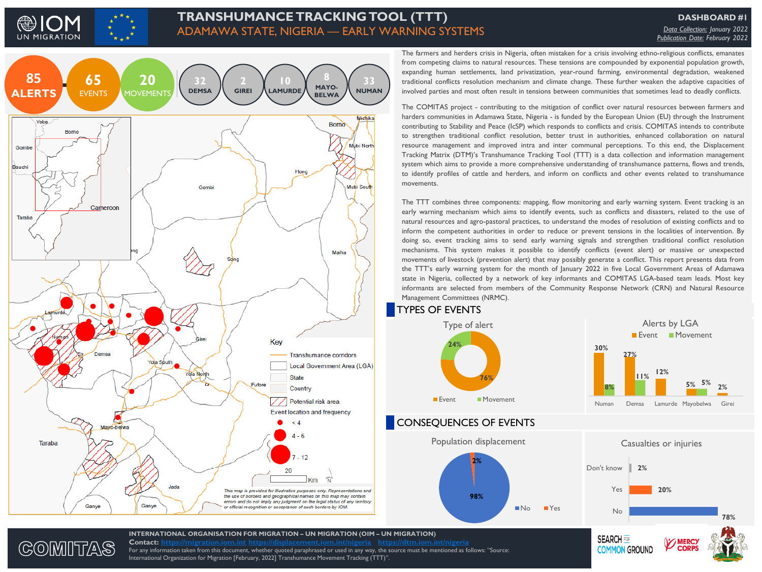

GOMITAS

## **TRANSHUMANCE TRACKING TOOL (TTT)** ADAMAWA STATE, NIGERIA — EARLY WARNING SYSTEMS

**DASHBOARD #1** *Data Collection: January 2022 Publication Date: February 2022*



**Contact: [https://migration.iom.int](https://migration.iom.int/) <https://displacement.iom.int/nigeria> <https://dtm.iom.int/nigeria>**

International Organization for Migration [February, 2022] Transhumance Movement Tracking (TTT)".

For any information taken from this document, whether quoted paraphrased or used in any way, the source must be mentioned as follows: "Source:

The farmers and herders crisis in Nigeria, often mistaken for a crisis involving ethno-religious conflicts, emanates from competing claims to natural resources. These tensions are compounded by exponential population growth, expanding human settlements, land privatization, year-round farming, environmental degradation, weakened traditional conflicts resolution mechanism and climate change. These further weaken the adaptive capacities of involved parties and most often result in tensions between communities that sometimes lead to deadly conflicts.

The COMITAS project - contributing to the mitigation of conflict over natural resources between farmers and harders communities in Adamawa State, Nigeria - is funded by the European Union (EU) through the Instrument contributing to Stability and Peace (IcSP) which responds to conflicts and crisis. COMITAS intends to contribute to strengthen traditional conflict resolution, better trust in authorities, enhanced collaboration on natural resource management and improved intra and inter communal perceptions. To this end, the Displacement Tracking Matrix (DTM)'s Transhumance Tracking Tool (TTT) is a data collection and information management system which aims to provide a more comprehensive understanding of transhumance patterns, flows and trends, to identify profiles of cattle and herders, and inform on conflicts and other events related to transhumance movements.

The TTT combines three components: mapping, flow monitoring and early warning system. Event tracking is an early warning mechanism which aims to identify events, such as conflicts and disasters, related to the use of natural resources and agro-pastoral practices, to understand the modes of resolution of existing conflicts and to inform the competent authorities in order to reduce or prevent tensions in the localities of intervention. By doing so, event tracking aims to send early warning signals and strengthen traditional conflict resolution mechanisms. This system makes it possible to identify conflicts (event alert) or massive or unexpected movements of livestock (prevention alert) that may possibly generate a conflict. This report presents data from the TTT's early warning system for the month of January 2022 in five Local Government Areas of Adamawa state in Nigeria, collected by a network of key informants and COMITAS LGA-based team leads. Most key informants are selected from members of the Community Response Network (CRN) and Natural Resource Management Committees (NRMC).



**SEARCH FOR** 

**COMMON GROUND**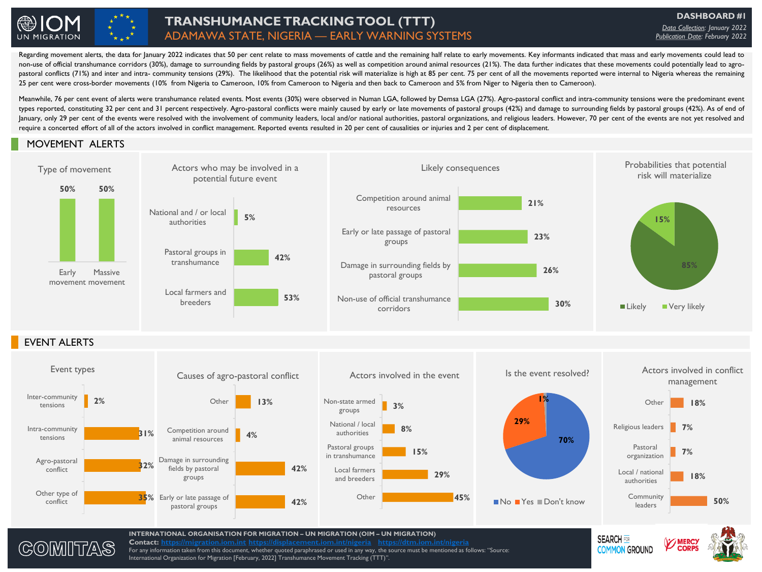

# **TRANSHUMANCE TRACKING TOOL (TTT)** ADAMAWA STATE, NIGERIA — EARLY WARNING SYSTEMS

**DASHBOARD #1** *Data Collection: January 2022 Publication Date: February 2022*

**COMMON GROUND** 

non-use of official transhumance corridors (30%), damage to surrounding fields by pastoral groups (26%) as well as competition around animal resources (21%). The data further indicates that these movements could potentiall Regarding movement alerts, the data for January 2022 indicates that 50 per cent relate to mass movements of cattle and the remaining half relate to early movements. Key informants indicated that mass and early movements co non-use of official transhumance corridors (30%), damage to surrounding fields by pastoral groups (26%) as well as competition around animal resources (21%). The data further indicates that these movements could potentiall 25 per cent were cross-border movements (10% from Nigeria to Cameroon, 10% from Cameroon to Nigeria and then back to Cameroon and 5% from Niger to Nigeria then to Cameroon).

Meanwhile, 76 per cent event of alerts were transhumance related events. Most events (30%) were observed in Numan LGA, followed by Demsa LGA (27%). Agro-pastoral conflict and intra-community tensions were the predominant e types reported, constituting 32 per cent and 31 percent respectively. Agro-pastoral conflicts were mainly caused by early or late movements of pastoral groups (42%) and damage to surrounding fields by pastoral groups (42%) January, only 29 per cent of the events were resolved with the involvement of community leaders, local and/or national authorities, pastoral organizations, and religious leaders. However, 70 per cent of the events are not require a concerted effort of all of the actors involved in conflict management. Reported events resulted in 20 per cent of causalities or injuries and 2 per cent of displacement.

### MOVEMENT ALERTS





**Contact: [https://migration.iom.int](https://migration.iom.int/) <https://displacement.iom.int/nigeria> <https://dtm.iom.int/nigeria>** For any information taken from this document, whether quoted paraphrased or used in any way, the source must be mentioned as follows: "Source: International Organization for Migration [February, 2022] Transhumance Movement Tracking (TTT)".